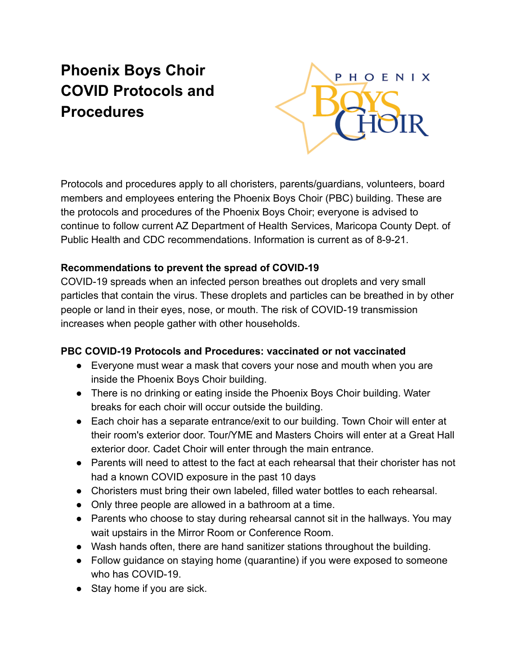# **Phoenix Boys Choir COVID Protocols and Procedures**



Protocols and procedures apply to all choristers, parents/guardians, volunteers, board members and employees entering the Phoenix Boys Choir (PBC) building. These are the protocols and procedures of the Phoenix Boys Choir; everyone is advised to continue to follow current AZ Department of Health Services, Maricopa County Dept. of Public Health and CDC recommendations. Information is current as of 8-9-21.

#### **Recommendations to prevent the spread of COVID-19**

COVID-19 spreads when an infected person breathes out droplets and very small particles that contain the virus. These droplets and particles can be breathed in by other people or land in their eyes, nose, or mouth. The risk of COVID-19 transmission increases when people gather with other households.

#### **PBC COVID-19 Protocols and Procedures: vaccinated or not vaccinated**

- Everyone must wear a mask that covers your nose and mouth when you are inside the Phoenix Boys Choir building.
- There is no drinking or eating inside the Phoenix Boys Choir building. Water breaks for each choir will occur outside the building.
- Each choir has a separate entrance/exit to our building. Town Choir will enter at their room's exterior door. Tour/YME and Masters Choirs will enter at a Great Hall exterior door. Cadet Choir will enter through the main entrance.
- Parents will need to attest to the fact at each rehearsal that their chorister has not had a known COVID exposure in the past 10 days
- Choristers must bring their own labeled, filled water bottles to each rehearsal.
- Only three people are allowed in a bathroom at a time.
- Parents who choose to stay during rehearsal cannot sit in the hallways. You may wait upstairs in the Mirror Room or Conference Room.
- Wash hands often, there are hand sanitizer stations throughout the building.
- Follow guidance on staying home (quarantine) if you were exposed to someone who has COVID-19.
- Stay home if you are sick.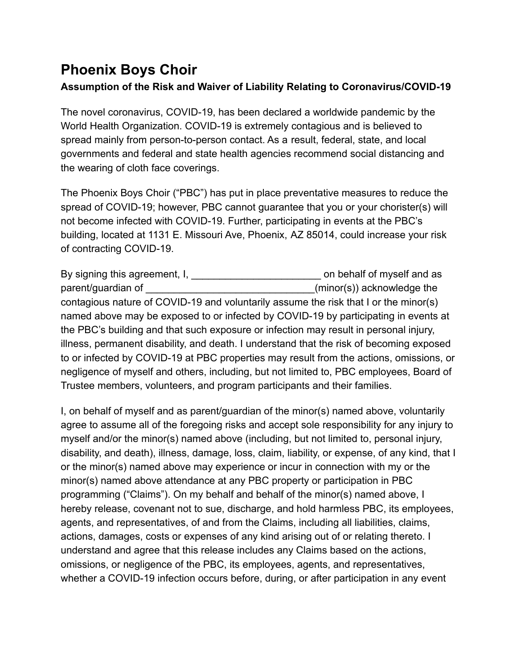## **Phoenix Boys Choir**

### **Assumption of the Risk and Waiver of Liability Relating to Coronavirus/COVID-19**

The novel coronavirus, COVID-19, has been declared a worldwide pandemic by the World Health Organization. COVID-19 is extremely contagious and is believed to spread mainly from person-to-person contact. As a result, federal, state, and local governments and federal and state health agencies recommend social distancing and the wearing of cloth face coverings.

The Phoenix Boys Choir ("PBC") has put in place preventative measures to reduce the spread of COVID-19; however, PBC cannot guarantee that you or your chorister(s) will not become infected with COVID-19. Further, participating in events at the PBC's building, located at 1131 E. Missouri Ave, Phoenix, AZ 85014, could increase your risk of contracting COVID-19.

By signing this agreement, I, \_\_\_\_\_\_\_\_\_\_\_\_\_\_\_\_\_\_\_\_\_\_\_\_\_\_\_\_\_\_\_ on behalf of myself and as parent/guardian of  $(minor(s))$  acknowledge the contagious nature of COVID-19 and voluntarily assume the risk that I or the minor(s) named above may be exposed to or infected by COVID-19 by participating in events at the PBC's building and that such exposure or infection may result in personal injury, illness, permanent disability, and death. I understand that the risk of becoming exposed to or infected by COVID-19 at PBC properties may result from the actions, omissions, or negligence of myself and others, including, but not limited to, PBC employees, Board of Trustee members, volunteers, and program participants and their families.

I, on behalf of myself and as parent/guardian of the minor(s) named above, voluntarily agree to assume all of the foregoing risks and accept sole responsibility for any injury to myself and/or the minor(s) named above (including, but not limited to, personal injury, disability, and death), illness, damage, loss, claim, liability, or expense, of any kind, that I or the minor(s) named above may experience or incur in connection with my or the minor(s) named above attendance at any PBC property or participation in PBC programming ("Claims"). On my behalf and behalf of the minor(s) named above, I hereby release, covenant not to sue, discharge, and hold harmless PBC, its employees, agents, and representatives, of and from the Claims, including all liabilities, claims, actions, damages, costs or expenses of any kind arising out of or relating thereto. I understand and agree that this release includes any Claims based on the actions, omissions, or negligence of the PBC, its employees, agents, and representatives, whether a COVID-19 infection occurs before, during, or after participation in any event